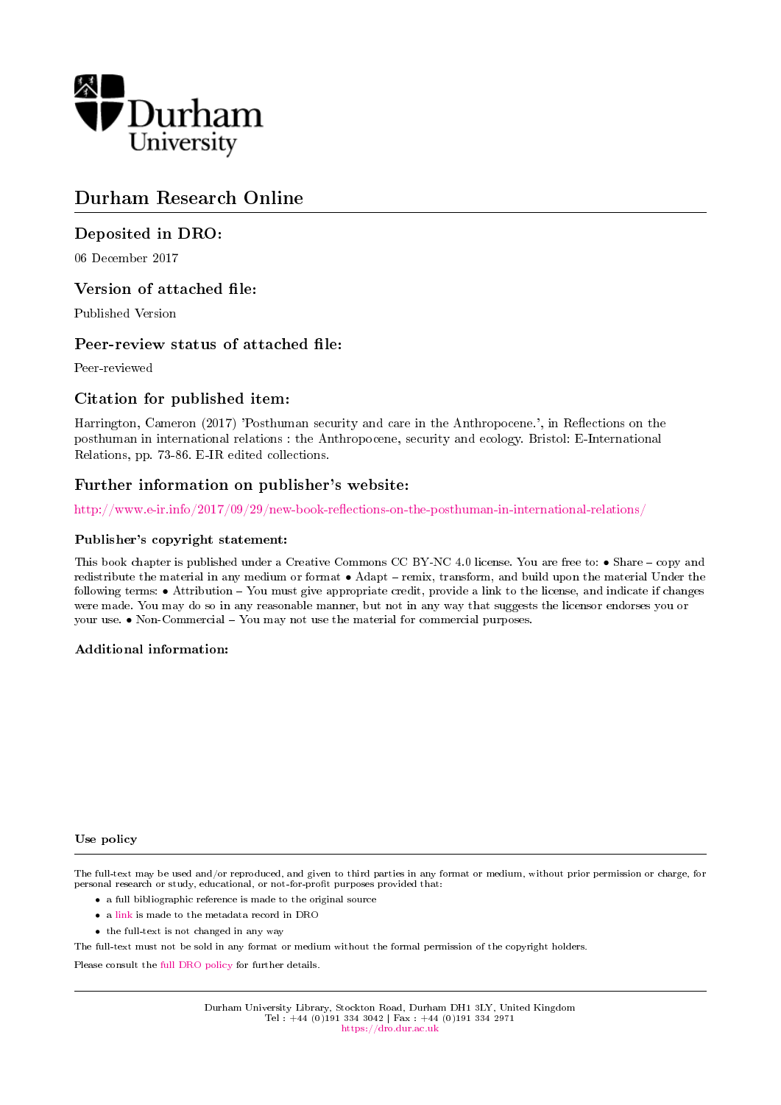

# Durham Research Online

# Deposited in DRO:

06 December 2017

## Version of attached file:

Published Version

## Peer-review status of attached file:

Peer-reviewed

## Citation for published item:

Harrington, Cameron (2017) 'Posthuman security and care in the Anthropocene.', in Reflections on the posthuman in international relations : the Anthropocene, security and ecology. Bristol: E-International Relations, pp. 73-86. E-IR edited collections.

## Further information on publisher's website:

http://www.e-ir.info/2017/09/29/new-book-reflections-on-the-posthuman-in-international-relations/

#### Publisher's copyright statement:

This book chapter is published under a Creative Commons CC BY-NC 4.0 license. You are free to: • Share – copy and redistribute the material in any medium or format  $\bullet$  Adapt - remix, transform, and build upon the material Under the following terms: • Attribution – You must give appropriate credit, provide a link to the license, and indicate if changes were made. You may do so in any reasonable manner, but not in any way that suggests the licensor endorses you or your use. • Non-Commercial - You may not use the material for commercial purposes.

#### Additional information:

#### Use policy

The full-text may be used and/or reproduced, and given to third parties in any format or medium, without prior permission or charge, for personal research or study, educational, or not-for-profit purposes provided that:

- a full bibliographic reference is made to the original source
- a [link](http://dro.dur.ac.uk/23641/) is made to the metadata record in DRO
- the full-text is not changed in any way

The full-text must not be sold in any format or medium without the formal permission of the copyright holders.

Please consult the [full DRO policy](https://dro.dur.ac.uk/policies/usepolicy.pdf) for further details.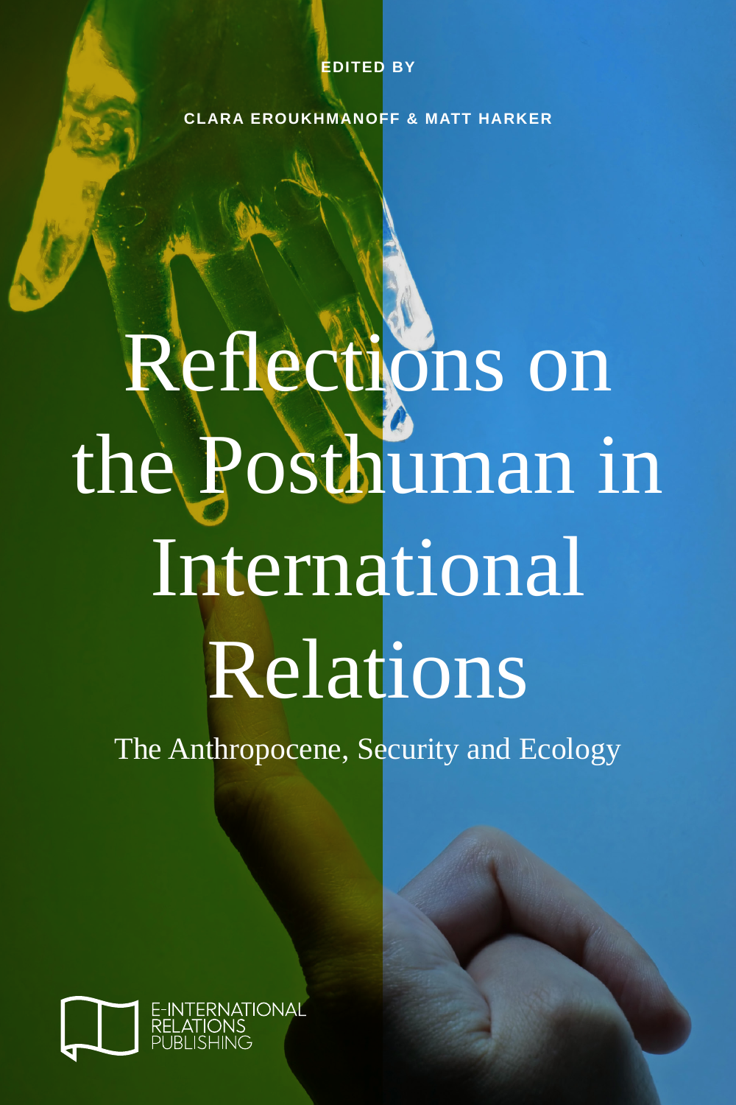**CLARA EROUKHMANOFF & MATT HARKER**

# Reflections on the Posthuman in International Relations

The Anthropocene, Security and Ecology

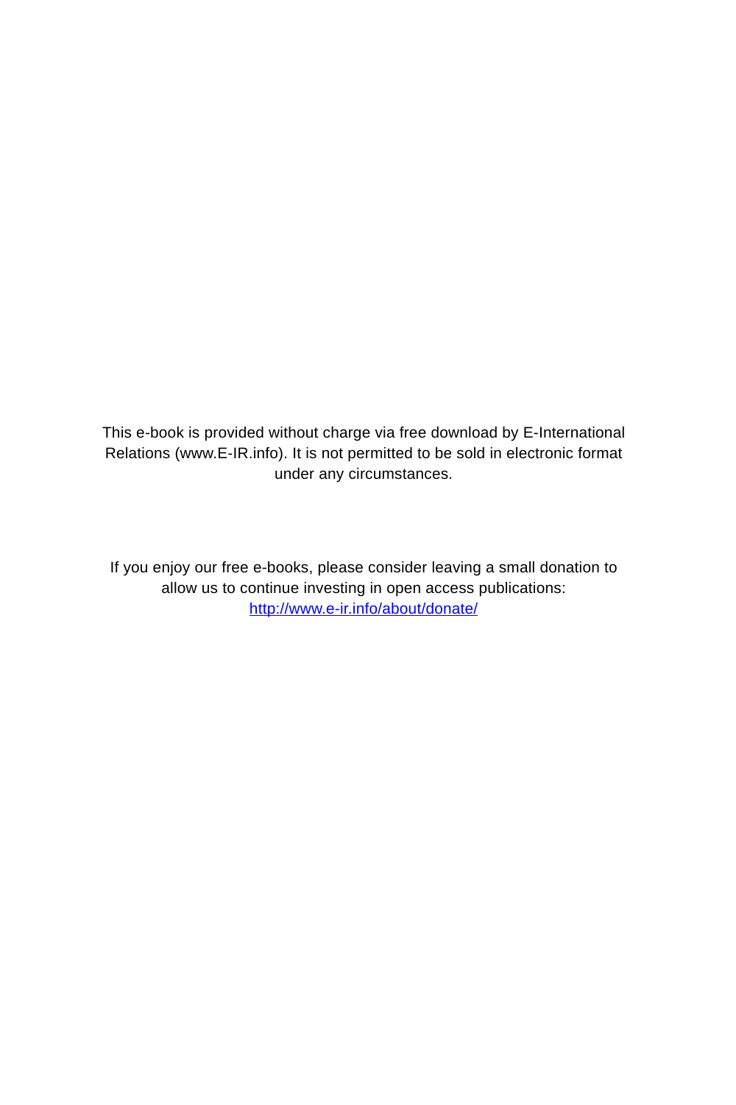This e-book is provided without charge via free download by E-International Relations (www.E-IR.info). It is not permitted to be sold in electronic format under any circumstances.

If you enjoy our free e-books, please consider leaving a small donation to allow us to continue investing in open access publications: http://www.e-ir.info/about/donate/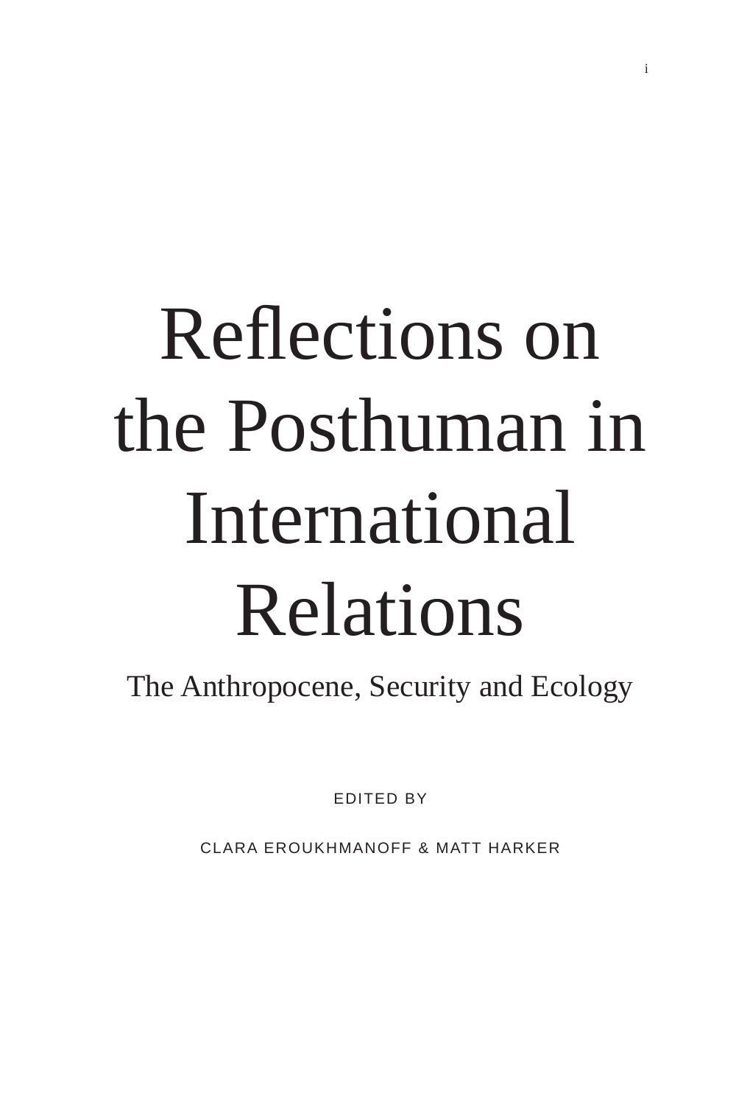# Reflections on the Posthuman in International Relations

The Anthropocene, Security and Ecology

EDITED BY

CLARA EROUKHMANOFF & MATT HARKER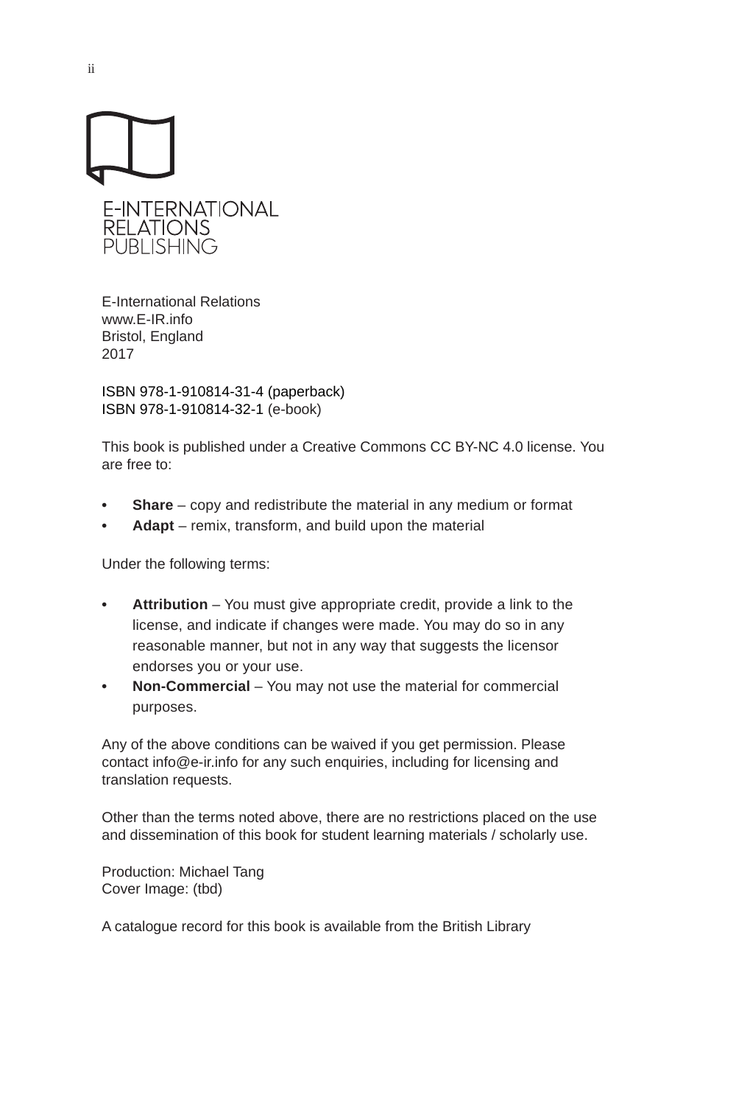

E-International Relations www.E-IR.info Bristol, England 2017

ISBN 978-1-910814-31-4 (paperback) ISBN 978-1-910814-32-1 (e-book)

This book is published under a Creative Commons CC BY-NC 4.0 license. You are free to:

- **• Share** copy and redistribute the material in any medium or format
- **• Adapt** remix, transform, and build upon the material

Under the following terms:

- **• Attribution** You must give appropriate credit, provide a link to the license, and indicate if changes were made. You may do so in any reasonable manner, but not in any way that suggests the licensor endorses you or your use.
- **• Non-Commercial** You may not use the material for commercial purposes.

Any of the above conditions can be waived if you get permission. Please contact info@e-ir.info for any such enquiries, including for licensing and translation requests.

Other than the terms noted above, there are no restrictions placed on the use and dissemination of this book for student learning materials / scholarly use.

Production: Michael Tang Cover Image: (tbd)

A catalogue record for this book is available from the British Library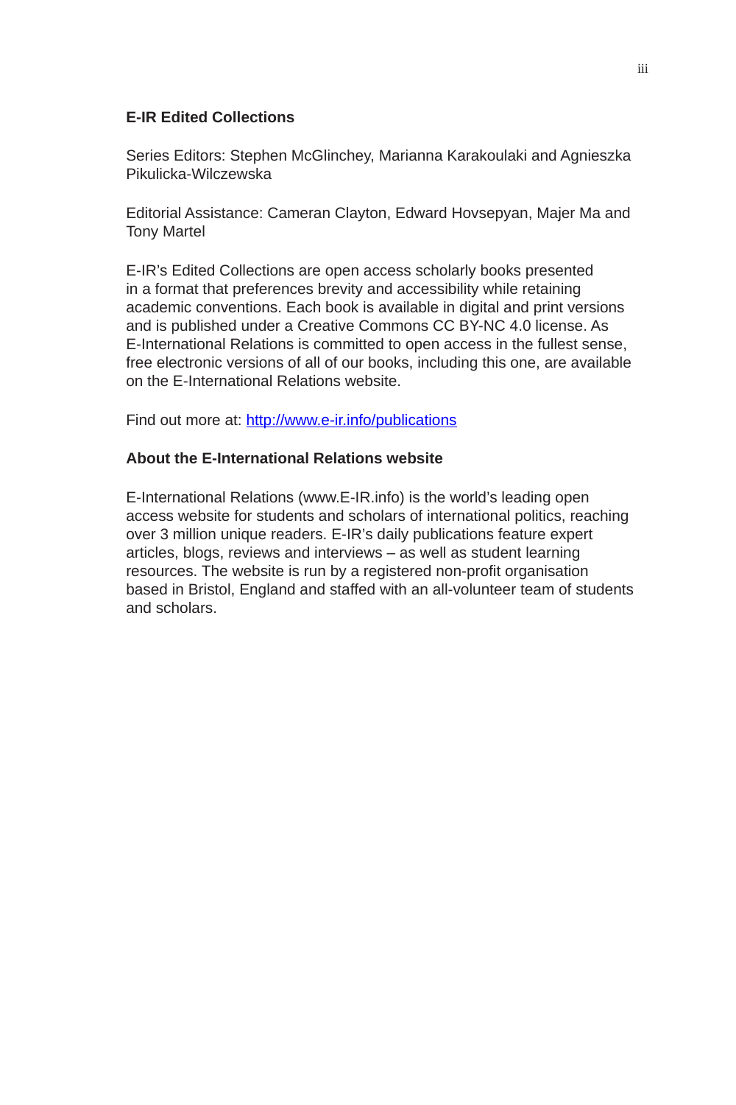#### **E-IR Edited Collections**

Series Editors: Stephen McGlinchey, Marianna Karakoulaki and Agnieszka Pikulicka-Wilczewska

Editorial Assistance: Cameran Clayton, Edward Hovsepyan, Majer Ma and Tony Martel

E-IR's Edited Collections are open access scholarly books presented in a format that preferences brevity and accessibility while retaining academic conventions. Each book is available in digital and print versions and is published under a Creative Commons CC BY-NC 4.0 license. As E-International Relations is committed to open access in the fullest sense, free electronic versions of all of our books, including this one, are available on the E-International Relations website.

Find out more at: <http://www.e-ir.info/publications>

#### **About the E-International Relations website**

E-International Relations (www.E-IR.info) is the world's leading open access website for students and scholars of international politics, reaching over 3 million unique readers. E-IR's daily publications feature expert articles, blogs, reviews and interviews – as well as student learning resources. The website is run by a registered non-profit organisation based in Bristol, England and staffed with an all-volunteer team of students and scholars.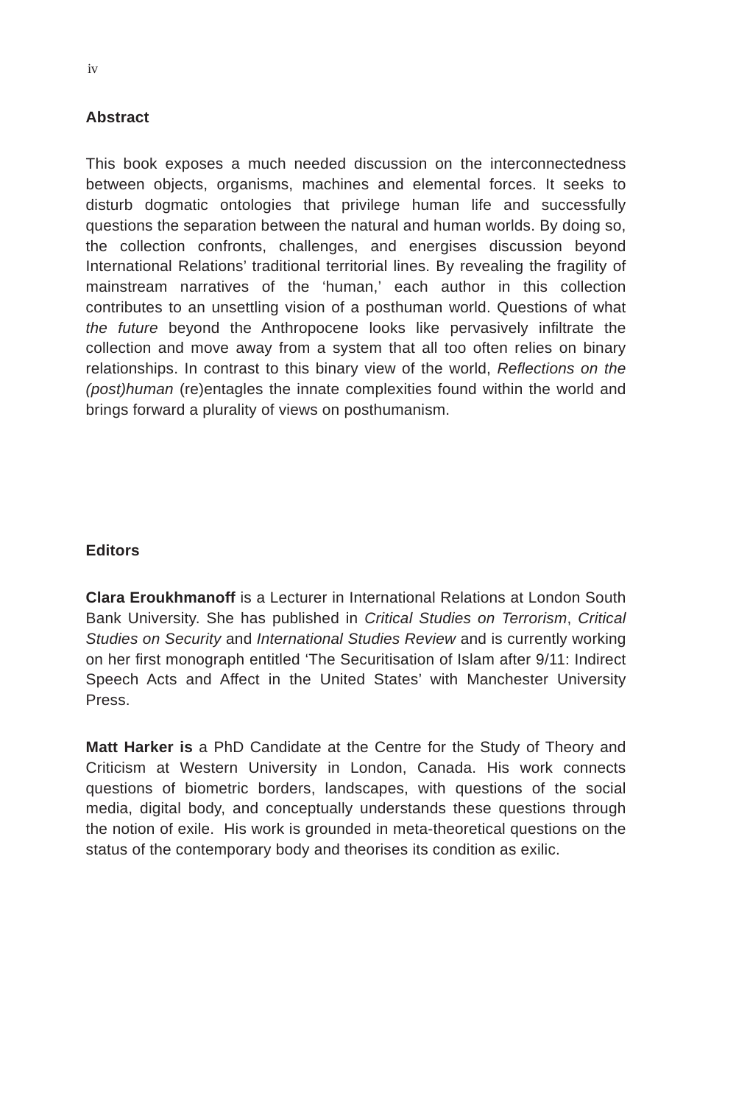#### **Abstract**

This book exposes a much needed discussion on the interconnectedness between objects, organisms, machines and elemental forces. It seeks to disturb dogmatic ontologies that privilege human life and successfully questions the separation between the natural and human worlds. By doing so, the collection confronts, challenges, and energises discussion beyond International Relations' traditional territorial lines. By revealing the fragility of mainstream narratives of the 'human,' each author in this collection contributes to an unsettling vision of a posthuman world. Questions of what *the future* beyond the Anthropocene looks like pervasively infiltrate the collection and move away from a system that all too often relies on binary relationships. In contrast to this binary view of the world, *Reflections on the (post)human* (re)entagles the innate complexities found within the world and brings forward a plurality of views on posthumanism.

#### **Editors**

**Clara Eroukhmanoff** is a Lecturer in International Relations at London South Bank University. She has published in *Critical Studies on Terrorism*, *Critical Studies on Security* and *International Studies Review* and is currently working on her first monograph entitled 'The Securitisation of Islam after 9/11: Indirect Speech Acts and Affect in the United States' with Manchester University Press.

**Matt Harker is** a PhD Candidate at the Centre for the Study of Theory and Criticism at Western University in London, Canada. His work connects questions of biometric borders, landscapes, with questions of the social media, digital body, and conceptually understands these questions through the notion of exile. His work is grounded in meta-theoretical questions on the status of the contemporary body and theorises its condition as exilic.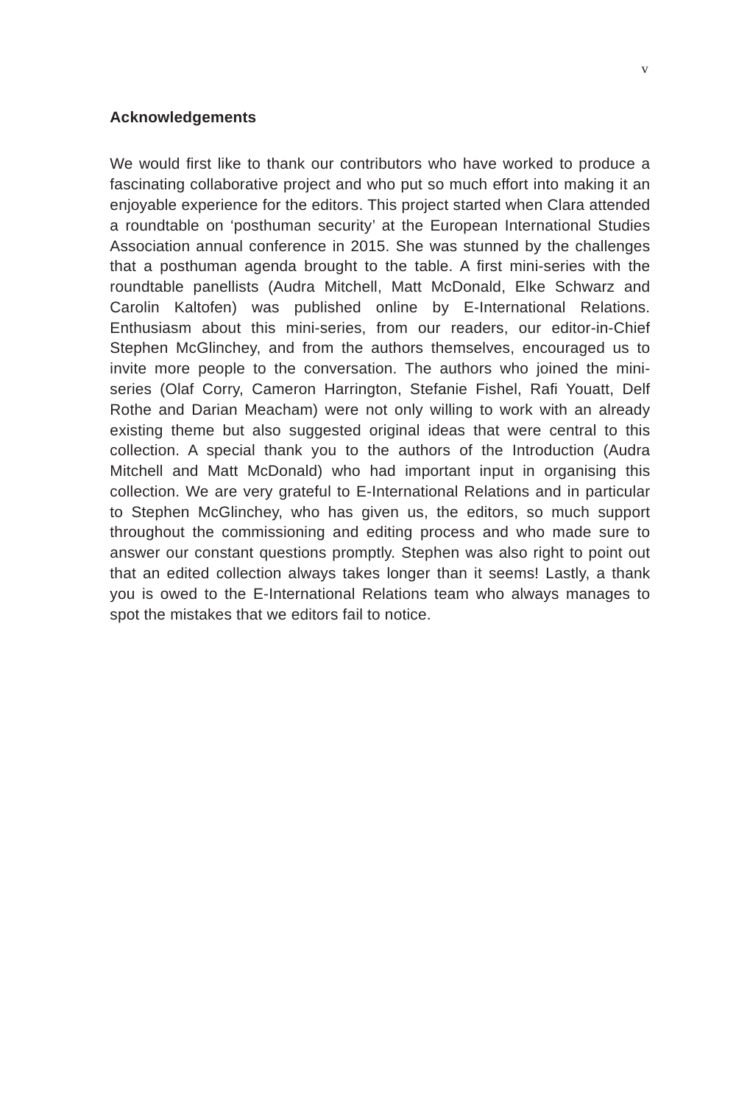#### **Acknowledgements**

We would first like to thank our contributors who have worked to produce a fascinating collaborative project and who put so much effort into making it an enjoyable experience for the editors. This project started when Clara attended a roundtable on 'posthuman security' at the European International Studies Association annual conference in 2015. She was stunned by the challenges that a posthuman agenda brought to the table. A first mini-series with the roundtable panellists (Audra Mitchell, Matt McDonald, Elke Schwarz and Carolin Kaltofen) was published online by E-International Relations. Enthusiasm about this mini-series, from our readers, our editor-in-Chief Stephen McGlinchey, and from the authors themselves, encouraged us to invite more people to the conversation. The authors who joined the miniseries (Olaf Corry, Cameron Harrington, Stefanie Fishel, Rafi Youatt, Delf Rothe and Darian Meacham) were not only willing to work with an already existing theme but also suggested original ideas that were central to this collection. A special thank you to the authors of the Introduction (Audra Mitchell and Matt McDonald) who had important input in organising this collection. We are very grateful to E-International Relations and in particular to Stephen McGlinchey, who has given us, the editors, so much support throughout the commissioning and editing process and who made sure to answer our constant questions promptly. Stephen was also right to point out that an edited collection always takes longer than it seems! Lastly, a thank you is owed to the E-International Relations team who always manages to spot the mistakes that we editors fail to notice.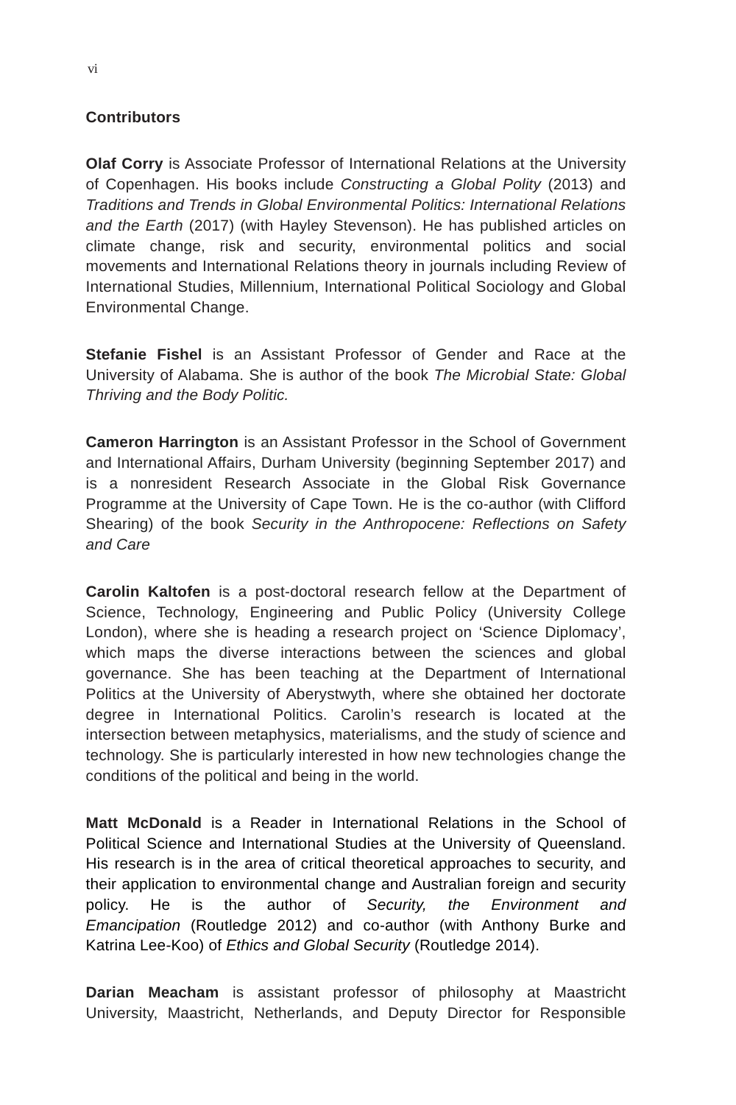#### **Contributors**

**Olaf Corry** is Associate Professor of International Relations at the University of Copenhagen. His books include *Constructing a Global Polity* (2013) and *Traditions and Trends in Global Environmental Politics: International Relations and the Earth* (2017) (with Hayley Stevenson). He has published articles on climate change, risk and security, environmental politics and social movements and International Relations theory in journals including Review of International Studies, Millennium, International Political Sociology and Global Environmental Change.

**Stefanie Fishel** is an Assistant Professor of Gender and Race at the University of Alabama. She is author of the book *The Microbial State: Global Thriving and the Body Politic.* 

**Cameron Harrington** is an Assistant Professor in the School of Government and International Affairs, Durham University (beginning September 2017) and is a nonresident Research Associate in the Global Risk Governance Programme at the University of Cape Town. He is the co-author (with Clifford Shearing) of the book *Security in the Anthropocene: Reflections on Safety and Care*

**Carolin Kaltofen** is a post-doctoral research fellow at the Department of Science, Technology, Engineering and Public Policy (University College London), where she is heading a research project on 'Science Diplomacy', which maps the diverse interactions between the sciences and global governance. She has been teaching at the Department of International Politics at the University of Aberystwyth, where she obtained her doctorate degree in International Politics. Carolin's research is located at the intersection between metaphysics, materialisms, and the study of science and technology. She is particularly interested in how new technologies change the conditions of the political and being in the world.

**Matt McDonald** is a Reader in International Relations in the School of Political Science and International Studies at the University of Queensland. His research is in the area of critical theoretical approaches to security, and their application to environmental change and Australian foreign and security policy. He is the author of *Security, the Environment and Emancipation* (Routledge 2012) and co-author (with Anthony Burke and Katrina Lee-Koo) of *Ethics and Global Security* (Routledge 2014).

**Darian Meacham** is assistant professor of philosophy at Maastricht University, Maastricht, Netherlands, and Deputy Director for Responsible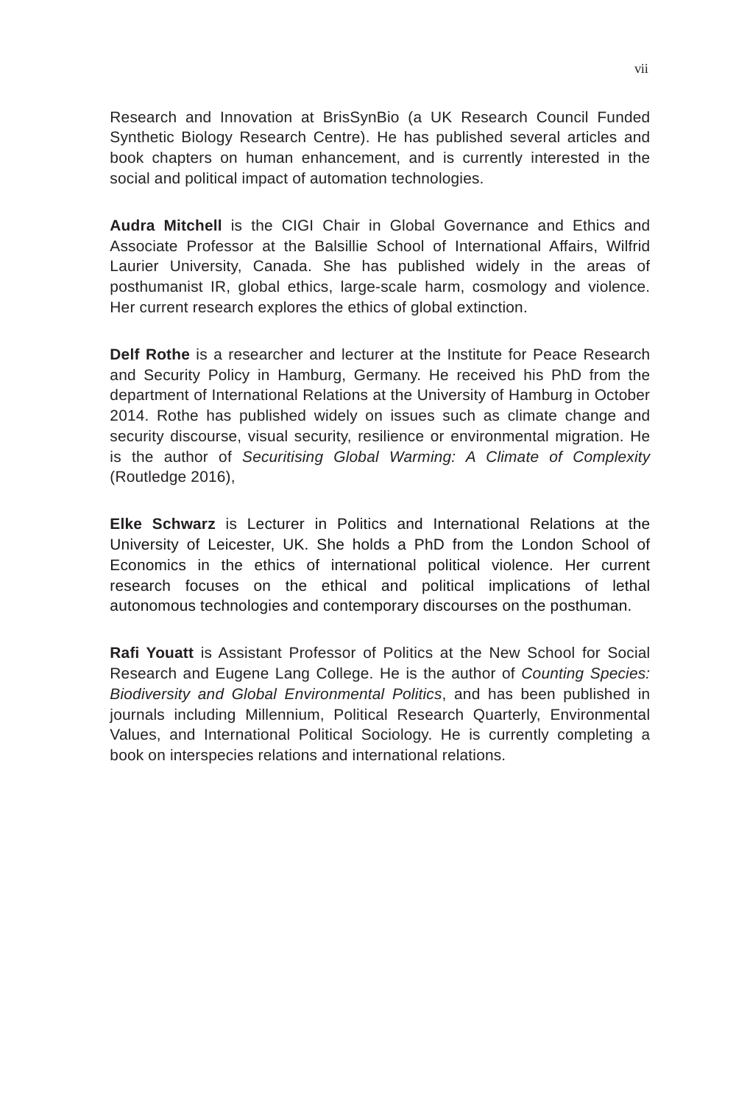Research and Innovation at BrisSynBio (a UK Research Council Funded Synthetic Biology Research Centre). He has published several articles and book chapters on human enhancement, and is currently interested in the social and political impact of automation technologies.

**Audra Mitchell** is the CIGI Chair in Global Governance and Ethics and Associate Professor at the Balsillie School of International Affairs, Wilfrid Laurier University, Canada. She has published widely in the areas of posthumanist IR, global ethics, large-scale harm, cosmology and violence. Her current research explores the ethics of global extinction.

**Delf Rothe** is a researcher and lecturer at the Institute for Peace Research and Security Policy in Hamburg, Germany. He received his PhD from the department of International Relations at the University of Hamburg in October 2014. Rothe has published widely on issues such as climate change and security discourse, visual security, resilience or environmental migration. He is the author of *Securitising Global Warming: A Climate of Complexity*  (Routledge 2016),

**Elke Schwarz** is Lecturer in Politics and International Relations at the University of Leicester, UK. She holds a PhD from the London School of Economics in the ethics of international political violence. Her current research focuses on the ethical and political implications of lethal autonomous technologies and contemporary discourses on the posthuman.

**Rafi Youatt** is Assistant Professor of Politics at the New School for Social Research and Eugene Lang College. He is the author of *Counting Species: Biodiversity and Global Environmental Politics*, and has been published in journals including Millennium, Political Research Quarterly, Environmental Values, and International Political Sociology. He is currently completing a book on interspecies relations and international relations.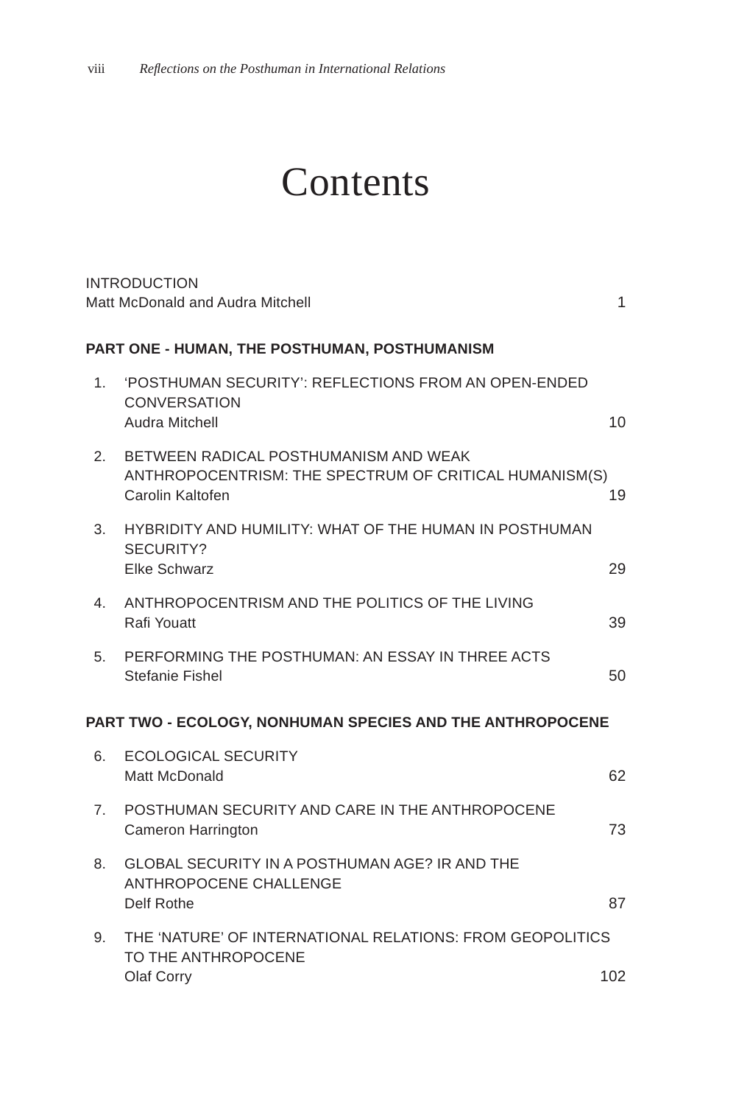# **Contents**

|    | <b>INTRODUCTION</b><br>Matt McDonald and Audra Mitchell                                                             | $\mathbf{1}$ |
|----|---------------------------------------------------------------------------------------------------------------------|--------------|
|    | PART ONE - HUMAN, THE POSTHUMAN, POSTHUMANISM                                                                       |              |
| 1. | 'POSTHUMAN SECURITY': REFLECTIONS FROM AN OPEN-ENDED<br><b>CONVERSATION</b><br>Audra Mitchell                       | 10           |
| 2. | BETWEEN RADICAL POSTHUMANISM AND WEAK<br>ANTHROPOCENTRISM: THE SPECTRUM OF CRITICAL HUMANISM(S)<br>Carolin Kaltofen | 19           |
| 3. | HYBRIDITY AND HUMILITY: WHAT OF THE HUMAN IN POSTHUMAN<br>SECURITY?<br>Elke Schwarz                                 | 29           |
| 4. | ANTHROPOCENTRISM AND THE POLITICS OF THE LIVING<br>Rafi Youatt                                                      | 39           |
| 5. | PERFORMING THE POSTHUMAN: AN ESSAY IN THREE ACTS<br>Stefanie Fishel                                                 | 50           |
|    | PART TWO - ECOLOGY, NONHUMAN SPECIES AND THE ANTHROPOCENE                                                           |              |
| 6. | <b>ECOLOGICAL SECURITY</b><br>Matt McDonald                                                                         | 62           |
| 7. | POSTHUMAN SECURITY AND CARE IN THE ANTHROPOCENE<br>Cameron Harrington                                               | 73           |
| 8. | <b>GLOBAL SECURITY IN A POSTHUMAN AGE? IR AND THE</b><br>ANTHROPOCENE CHALLENGE<br>Delf Rothe                       | 87           |
| 9. | THE 'NATURE' OF INTERNATIONAL RELATIONS: FROM GEOPOLITICS<br>TO THE ANTHROPOCENE<br>Olaf Corry                      | 102          |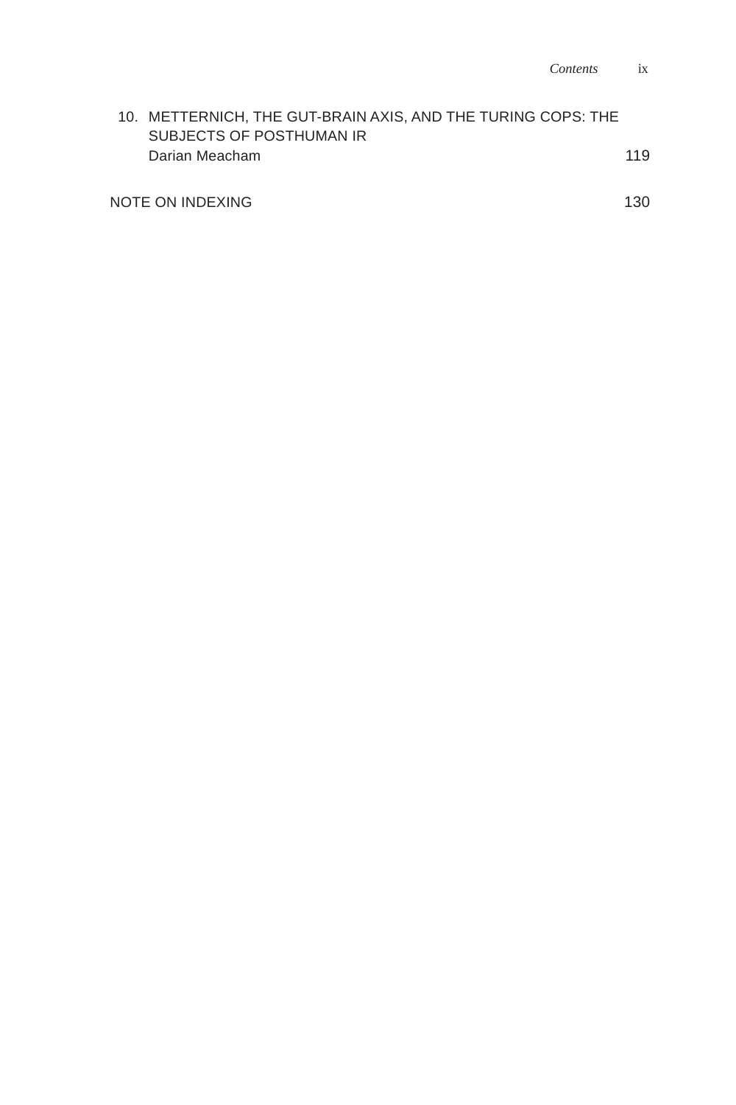|                  | 10. METTERNICH, THE GUT-BRAIN AXIS, AND THE TURING COPS: THE |     |
|------------------|--------------------------------------------------------------|-----|
|                  | SUBJECTS OF POSTHUMAN IR                                     |     |
|                  | Darian Meacham                                               | 119 |
|                  |                                                              |     |
| NOTE ON INDEXING |                                                              | 130 |
|                  |                                                              |     |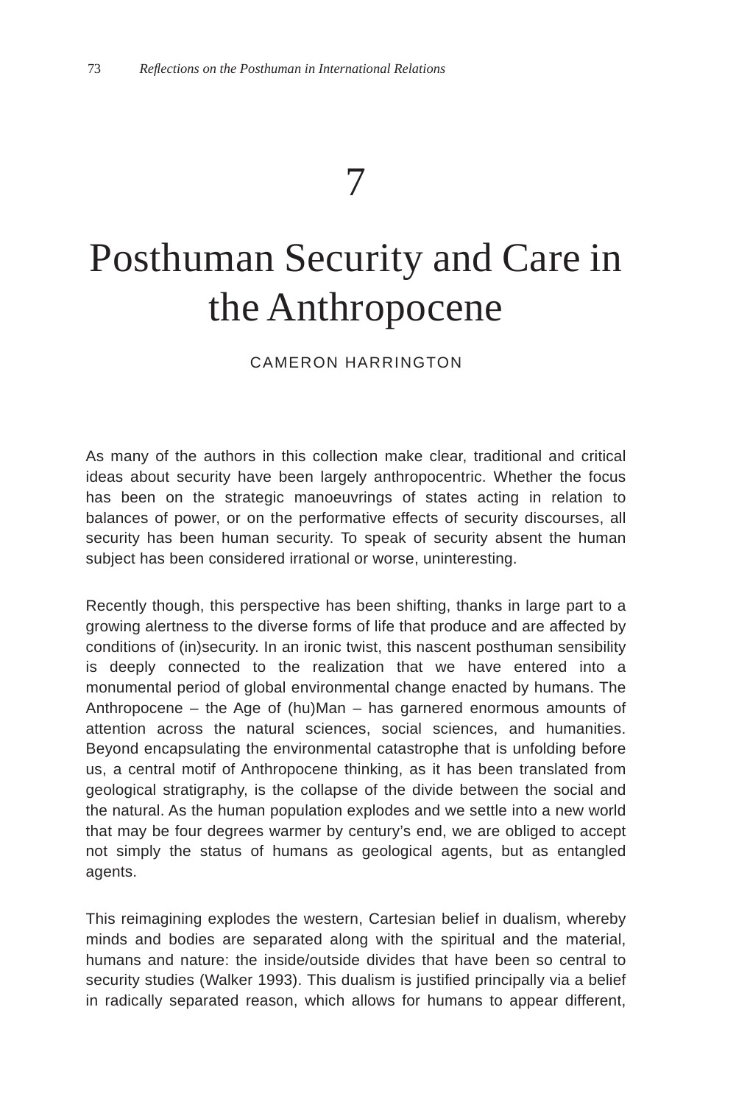# 7

# <span id="page-12-0"></span>Posthuman Security and Care in the Anthropocene

CAMERON HARRINGTON

As many of the authors in this collection make clear, traditional and critical ideas about security have been largely anthropocentric. Whether the focus has been on the strategic manoeuvrings of states acting in relation to balances of power, or on the performative effects of security discourses, all security has been human security. To speak of security absent the human subject has been considered irrational or worse, uninteresting.

Recently though, this perspective has been shifting, thanks in large part to a growing alertness to the diverse forms of life that produce and are affected by conditions of (in)security. In an ironic twist, this nascent posthuman sensibility is deeply connected to the realization that we have entered into a monumental period of global environmental change enacted by humans. The Anthropocene – the Age of (hu)Man – has garnered enormous amounts of attention across the natural sciences, social sciences, and humanities. Beyond encapsulating the environmental catastrophe that is unfolding before us, a central motif of Anthropocene thinking, as it has been translated from geological stratigraphy, is the collapse of the divide between the social and the natural. As the human population explodes and we settle into a new world that may be four degrees warmer by century's end, we are obliged to accept not simply the status of humans as geological agents, but as entangled agents.

This reimagining explodes the western, Cartesian belief in dualism, whereby minds and bodies are separated along with the spiritual and the material, humans and nature: the inside/outside divides that have been so central to security studies (Walker 1993). This dualism is justified principally via a belief in radically separated reason, which allows for humans to appear different,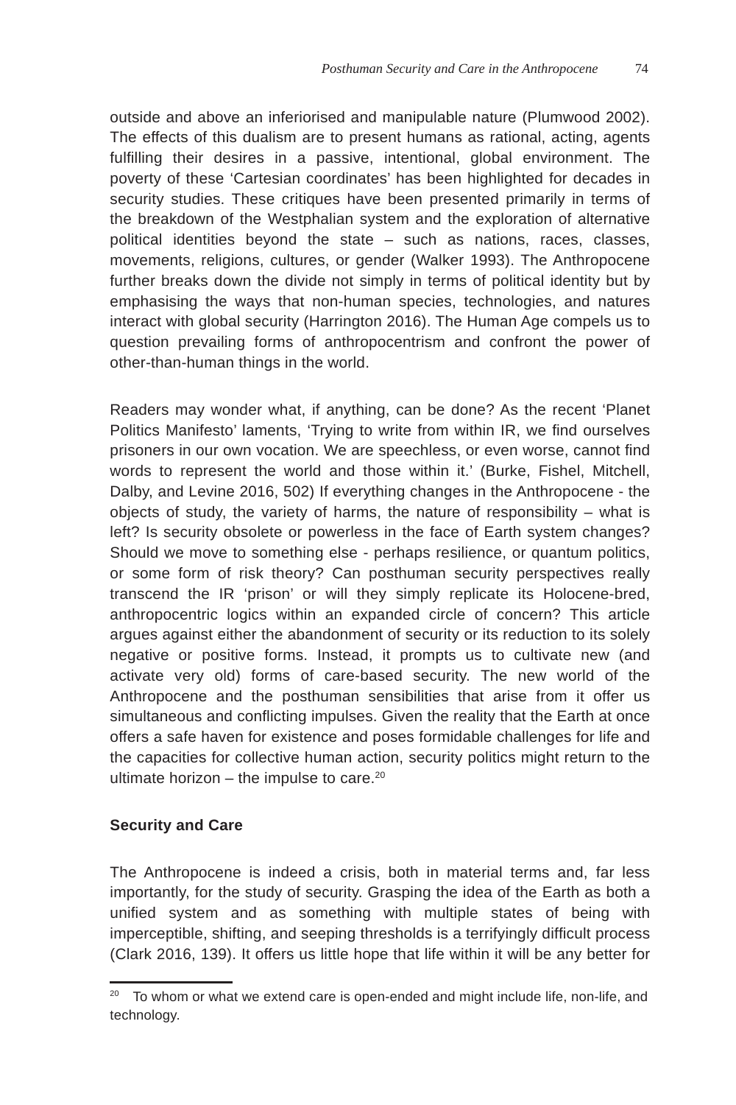outside and above an inferiorised and manipulable nature (Plumwood 2002). The effects of this dualism are to present humans as rational, acting, agents fulfilling their desires in a passive, intentional, global environment. The poverty of these 'Cartesian coordinates' has been highlighted for decades in security studies. These critiques have been presented primarily in terms of the breakdown of the Westphalian system and the exploration of alternative political identities beyond the state – such as nations, races, classes, movements, religions, cultures, or gender (Walker 1993). The Anthropocene further breaks down the divide not simply in terms of political identity but by emphasising the ways that non-human species, technologies, and natures interact with global security (Harrington 2016). The Human Age compels us to question prevailing forms of anthropocentrism and confront the power of other-than-human things in the world.

Readers may wonder what, if anything, can be done? As the recent 'Planet Politics Manifesto' laments, 'Trying to write from within IR, we find ourselves prisoners in our own vocation. We are speechless, or even worse, cannot find words to represent the world and those within it.' (Burke, Fishel, Mitchell, Dalby, and Levine 2016, 502) If everything changes in the Anthropocene - the objects of study, the variety of harms, the nature of responsibility – what is left? Is security obsolete or powerless in the face of Earth system changes? Should we move to something else - perhaps resilience, or quantum politics, or some form of risk theory? Can posthuman security perspectives really transcend the IR 'prison' or will they simply replicate its Holocene-bred, anthropocentric logics within an expanded circle of concern? This article argues against either the abandonment of security or its reduction to its solely negative or positive forms. Instead, it prompts us to cultivate new (and activate very old) forms of care-based security. The new world of the Anthropocene and the posthuman sensibilities that arise from it offer us simultaneous and conflicting impulses. Given the reality that the Earth at once offers a safe haven for existence and poses formidable challenges for life and the capacities for collective human action, security politics might return to the ultimate horizon – the impulse to care.<sup>20</sup>

#### **Security and Care**

The Anthropocene is indeed a crisis, both in material terms and, far less importantly, for the study of security. Grasping the idea of the Earth as both a unified system and as something with multiple states of being with imperceptible, shifting, and seeping thresholds is a terrifyingly difficult process (Clark 2016, 139). It offers us little hope that life within it will be any better for

To whom or what we extend care is open-ended and might include life, non-life, and technology.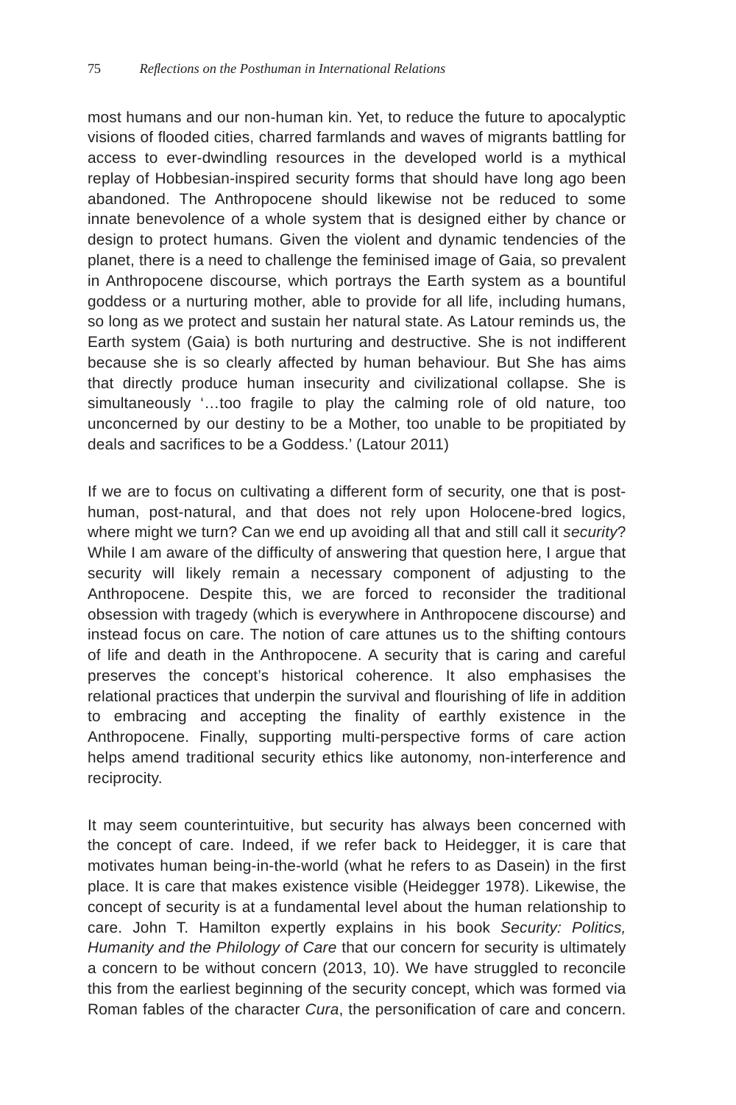most humans and our non-human kin. Yet, to reduce the future to apocalyptic visions of flooded cities, charred farmlands and waves of migrants battling for access to ever-dwindling resources in the developed world is a mythical replay of Hobbesian-inspired security forms that should have long ago been abandoned. The Anthropocene should likewise not be reduced to some innate benevolence of a whole system that is designed either by chance or design to protect humans. Given the violent and dynamic tendencies of the planet, there is a need to challenge the feminised image of Gaia, so prevalent in Anthropocene discourse, which portrays the Earth system as a bountiful goddess or a nurturing mother, able to provide for all life, including humans, so long as we protect and sustain her natural state. As Latour reminds us, the Earth system (Gaia) is both nurturing and destructive. She is not indifferent because she is so clearly affected by human behaviour. But She has aims that directly produce human insecurity and civilizational collapse. She is simultaneously '…too fragile to play the calming role of old nature, too unconcerned by our destiny to be a Mother, too unable to be propitiated by deals and sacrifices to be a Goddess.' (Latour 2011)

If we are to focus on cultivating a different form of security, one that is posthuman, post-natural, and that does not rely upon Holocene-bred logics, where might we turn? Can we end up avoiding all that and still call it *security*? While I am aware of the difficulty of answering that question here, I argue that security will likely remain a necessary component of adjusting to the Anthropocene. Despite this, we are forced to reconsider the traditional obsession with tragedy (which is everywhere in Anthropocene discourse) and instead focus on care. The notion of care attunes us to the shifting contours of life and death in the Anthropocene. A security that is caring and careful preserves the concept's historical coherence. It also emphasises the relational practices that underpin the survival and flourishing of life in addition to embracing and accepting the finality of earthly existence in the Anthropocene. Finally, supporting multi-perspective forms of care action helps amend traditional security ethics like autonomy, non-interference and reciprocity.

It may seem counterintuitive, but security has always been concerned with the concept of care. Indeed, if we refer back to Heidegger, it is care that motivates human being-in-the-world (what he refers to as Dasein) in the first place. It is care that makes existence visible (Heidegger 1978). Likewise, the concept of security is at a fundamental level about the human relationship to care. John T. Hamilton expertly explains in his book *Security: Politics, Humanity and the Philology of Care* that our concern for security is ultimately a concern to be without concern (2013, 10). We have struggled to reconcile this from the earliest beginning of the security concept, which was formed via Roman fables of the character *Cura*, the personification of care and concern.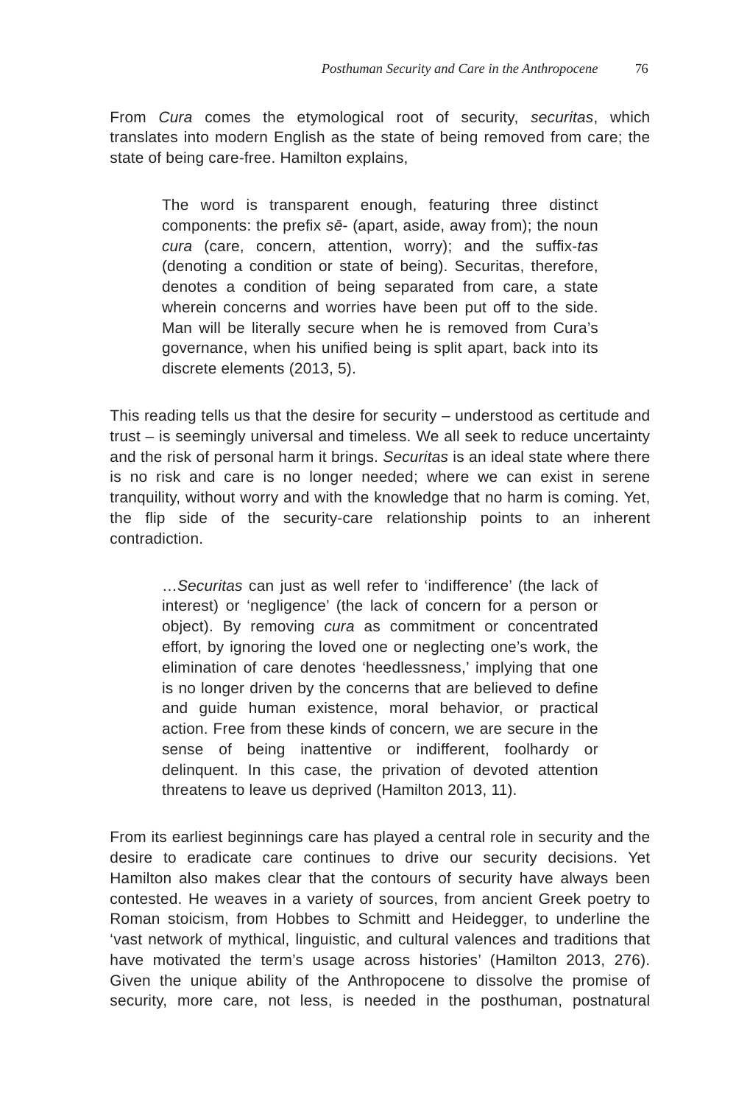From *Cura* comes the etymological root of security, *securitas*, which translates into modern English as the state of being removed from care; the state of being care-free. Hamilton explains,

The word is transparent enough, featuring three distinct components: the prefix *sē*- (apart, aside, away from); the noun *cura* (care, concern, attention, worry); and the suffix-*tas* (denoting a condition or state of being). Securitas, therefore, denotes a condition of being separated from care, a state wherein concerns and worries have been put off to the side. Man will be literally secure when he is removed from Cura's governance, when his unified being is split apart, back into its discrete elements (2013, 5).

This reading tells us that the desire for security – understood as certitude and trust – is seemingly universal and timeless. We all seek to reduce uncertainty and the risk of personal harm it brings. *Securitas* is an ideal state where there is no risk and care is no longer needed; where we can exist in serene tranquility, without worry and with the knowledge that no harm is coming. Yet, the flip side of the security-care relationship points to an inherent contradiction.

…*Securitas* can just as well refer to 'indifference' (the lack of interest) or 'negligence' (the lack of concern for a person or object). By removing *cura* as commitment or concentrated effort, by ignoring the loved one or neglecting one's work, the elimination of care denotes 'heedlessness,' implying that one is no longer driven by the concerns that are believed to define and guide human existence, moral behavior, or practical action. Free from these kinds of concern, we are secure in the sense of being inattentive or indifferent, foolhardy or delinquent. In this case, the privation of devoted attention threatens to leave us deprived (Hamilton 2013, 11).

From its earliest beginnings care has played a central role in security and the desire to eradicate care continues to drive our security decisions. Yet Hamilton also makes clear that the contours of security have always been contested. He weaves in a variety of sources, from ancient Greek poetry to Roman stoicism, from Hobbes to Schmitt and Heidegger, to underline the 'vast network of mythical, linguistic, and cultural valences and traditions that have motivated the term's usage across histories' (Hamilton 2013, 276). Given the unique ability of the Anthropocene to dissolve the promise of security, more care, not less, is needed in the posthuman, postnatural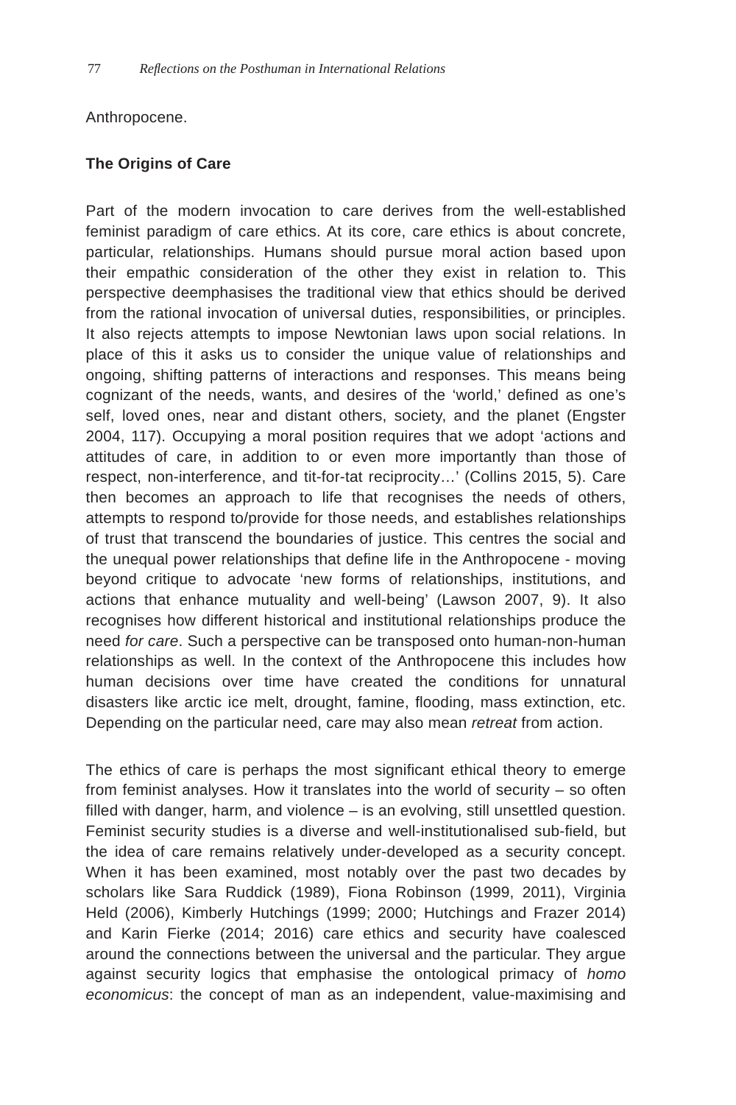#### Anthropocene.

#### **The Origins of Care**

Part of the modern invocation to care derives from the well-established feminist paradigm of care ethics. At its core, care ethics is about concrete, particular, relationships. Humans should pursue moral action based upon their empathic consideration of the other they exist in relation to. This perspective deemphasises the traditional view that ethics should be derived from the rational invocation of universal duties, responsibilities, or principles. It also rejects attempts to impose Newtonian laws upon social relations. In place of this it asks us to consider the unique value of relationships and ongoing, shifting patterns of interactions and responses. This means being cognizant of the needs, wants, and desires of the 'world,' defined as one's self, loved ones, near and distant others, society, and the planet (Engster 2004, 117). Occupying a moral position requires that we adopt 'actions and attitudes of care, in addition to or even more importantly than those of respect, non-interference, and tit-for-tat reciprocity…' (Collins 2015, 5). Care then becomes an approach to life that recognises the needs of others, attempts to respond to/provide for those needs, and establishes relationships of trust that transcend the boundaries of justice. This centres the social and the unequal power relationships that define life in the Anthropocene - moving beyond critique to advocate 'new forms of relationships, institutions, and actions that enhance mutuality and well-being' (Lawson 2007, 9). It also recognises how different historical and institutional relationships produce the need *for care*. Such a perspective can be transposed onto human-non-human relationships as well. In the context of the Anthropocene this includes how human decisions over time have created the conditions for unnatural disasters like arctic ice melt, drought, famine, flooding, mass extinction, etc. Depending on the particular need, care may also mean *retreat* from action.

The ethics of care is perhaps the most significant ethical theory to emerge from feminist analyses. How it translates into the world of security – so often filled with danger, harm, and violence – is an evolving, still unsettled question. Feminist security studies is a diverse and well-institutionalised sub-field, but the idea of care remains relatively under-developed as a security concept. When it has been examined, most notably over the past two decades by scholars like Sara Ruddick (1989), Fiona Robinson (1999, 2011), Virginia Held (2006), Kimberly Hutchings (1999; 2000; Hutchings and Frazer 2014) and Karin Fierke (2014; 2016) care ethics and security have coalesced around the connections between the universal and the particular. They argue against security logics that emphasise the ontological primacy of *homo economicus*: the concept of man as an independent, value-maximising and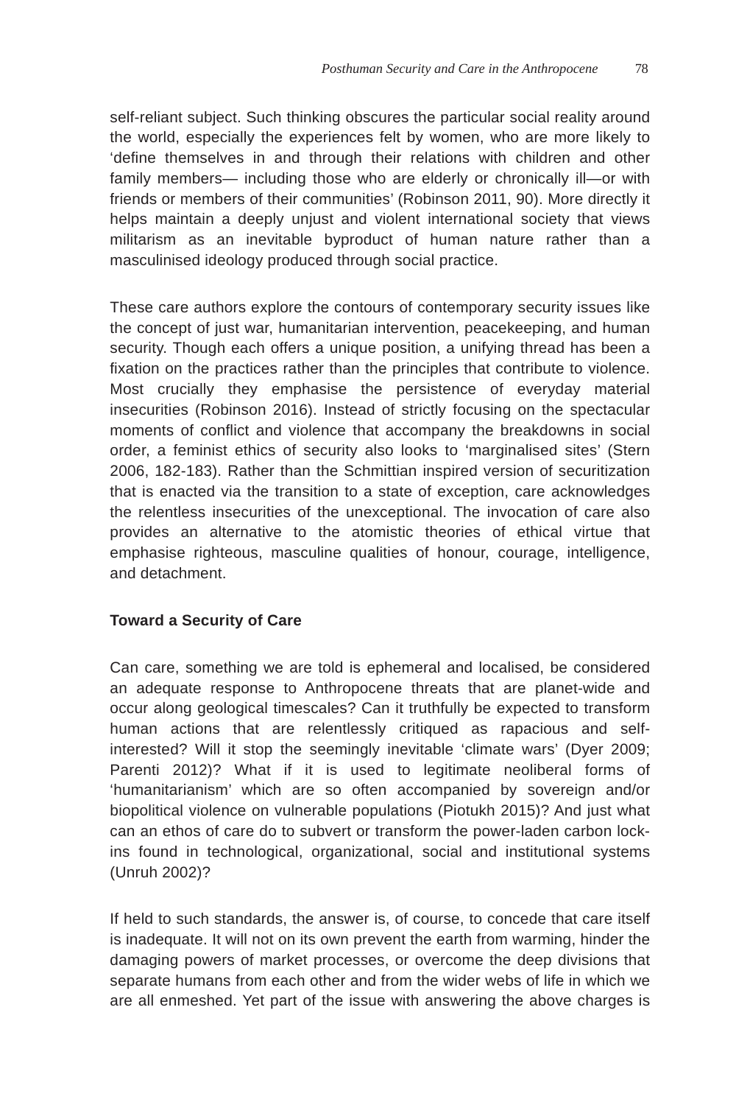self-reliant subject. Such thinking obscures the particular social reality around the world, especially the experiences felt by women, who are more likely to 'define themselves in and through their relations with children and other family members— including those who are elderly or chronically ill—or with friends or members of their communities' (Robinson 2011, 90). More directly it helps maintain a deeply unjust and violent international society that views militarism as an inevitable byproduct of human nature rather than a masculinised ideology produced through social practice.

These care authors explore the contours of contemporary security issues like the concept of just war, humanitarian intervention, peacekeeping, and human security. Though each offers a unique position, a unifying thread has been a fixation on the practices rather than the principles that contribute to violence. Most crucially they emphasise the persistence of everyday material insecurities (Robinson 2016). Instead of strictly focusing on the spectacular moments of conflict and violence that accompany the breakdowns in social order, a feminist ethics of security also looks to 'marginalised sites' (Stern 2006, 182-183). Rather than the Schmittian inspired version of securitization that is enacted via the transition to a state of exception, care acknowledges the relentless insecurities of the unexceptional. The invocation of care also provides an alternative to the atomistic theories of ethical virtue that emphasise righteous, masculine qualities of honour, courage, intelligence, and detachment.

#### **Toward a Security of Care**

Can care, something we are told is ephemeral and localised, be considered an adequate response to Anthropocene threats that are planet-wide and occur along geological timescales? Can it truthfully be expected to transform human actions that are relentlessly critiqued as rapacious and selfinterested? Will it stop the seemingly inevitable 'climate wars' (Dyer 2009; Parenti 2012)? What if it is used to legitimate neoliberal forms of 'humanitarianism' which are so often accompanied by sovereign and/or biopolitical violence on vulnerable populations (Piotukh 2015)? And just what can an ethos of care do to subvert or transform the power-laden carbon lockins found in technological, organizational, social and institutional systems (Unruh 2002)?

If held to such standards, the answer is, of course, to concede that care itself is inadequate. It will not on its own prevent the earth from warming, hinder the damaging powers of market processes, or overcome the deep divisions that separate humans from each other and from the wider webs of life in which we are all enmeshed. Yet part of the issue with answering the above charges is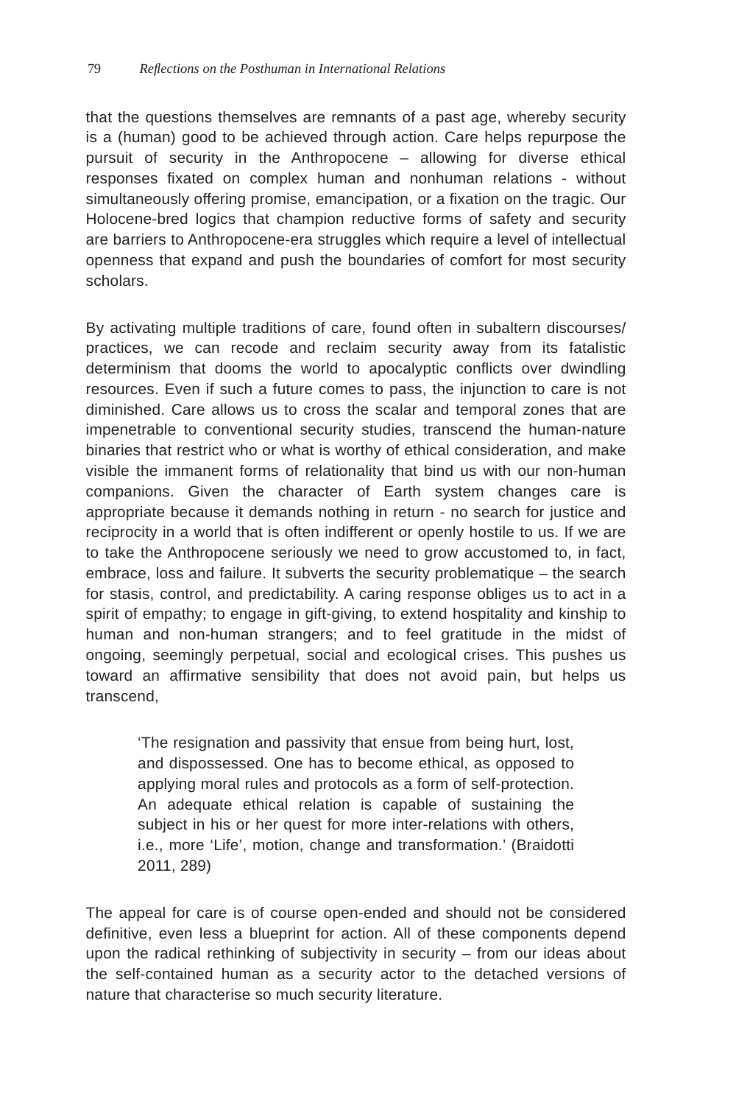that the questions themselves are remnants of a past age, whereby security is a (human) good to be achieved through action. Care helps repurpose the pursuit of security in the Anthropocene – allowing for diverse ethical responses fixated on complex human and nonhuman relations - without simultaneously offering promise, emancipation, or a fixation on the tragic. Our Holocene-bred logics that champion reductive forms of safety and security are barriers to Anthropocene-era struggles which require a level of intellectual openness that expand and push the boundaries of comfort for most security scholars.

By activating multiple traditions of care, found often in subaltern discourses/ practices, we can recode and reclaim security away from its fatalistic determinism that dooms the world to apocalyptic conflicts over dwindling resources. Even if such a future comes to pass, the injunction to care is not diminished. Care allows us to cross the scalar and temporal zones that are impenetrable to conventional security studies, transcend the human-nature binaries that restrict who or what is worthy of ethical consideration, and make visible the immanent forms of relationality that bind us with our non-human companions. Given the character of Earth system changes care is appropriate because it demands nothing in return - no search for justice and reciprocity in a world that is often indifferent or openly hostile to us. If we are to take the Anthropocene seriously we need to grow accustomed to, in fact, embrace, loss and failure. It subverts the security problematique – the search for stasis, control, and predictability. A caring response obliges us to act in a spirit of empathy; to engage in gift-giving, to extend hospitality and kinship to human and non-human strangers; and to feel gratitude in the midst of ongoing, seemingly perpetual, social and ecological crises. This pushes us toward an affirmative sensibility that does not avoid pain, but helps us transcend,

'The resignation and passivity that ensue from being hurt, lost, and dispossessed. One has to become ethical, as opposed to applying moral rules and protocols as a form of self-protection. An adequate ethical relation is capable of sustaining the subject in his or her quest for more inter-relations with others, i.e., more 'Life', motion, change and transformation.' (Braidotti 2011, 289)

The appeal for care is of course open-ended and should not be considered definitive, even less a blueprint for action. All of these components depend upon the radical rethinking of subjectivity in security – from our ideas about the self-contained human as a security actor to the detached versions of nature that characterise so much security literature.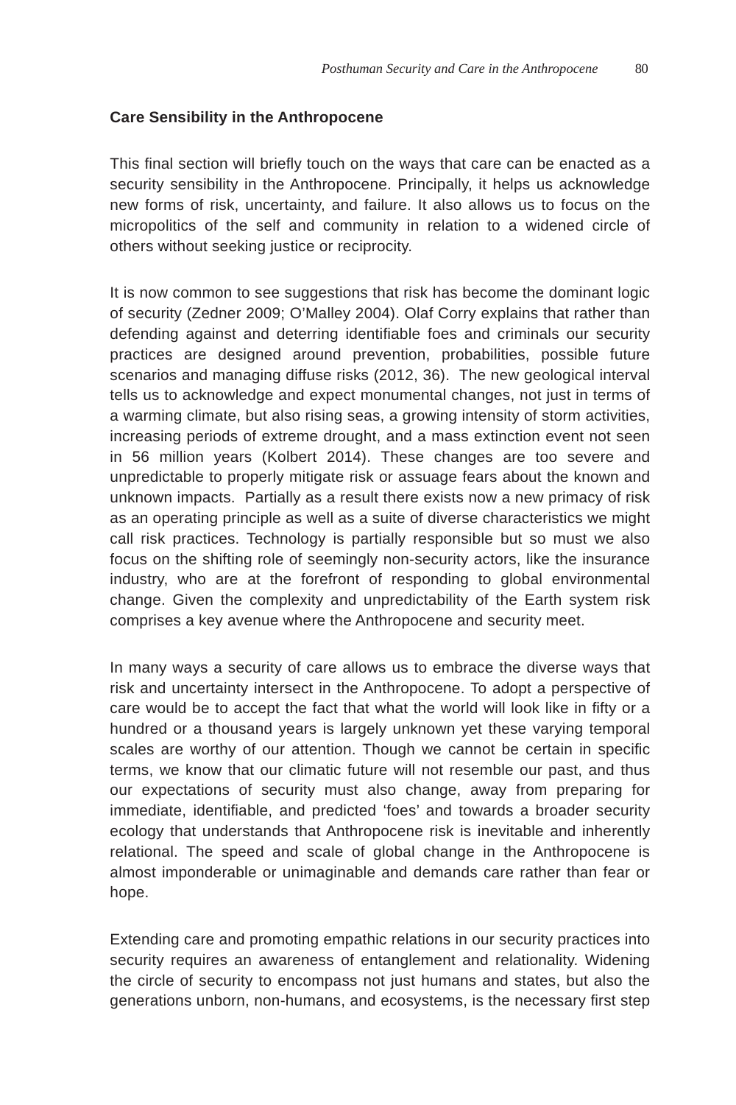#### **Care Sensibility in the Anthropocene**

This final section will briefly touch on the ways that care can be enacted as a security sensibility in the Anthropocene. Principally, it helps us acknowledge new forms of risk, uncertainty, and failure. It also allows us to focus on the micropolitics of the self and community in relation to a widened circle of others without seeking justice or reciprocity.

It is now common to see suggestions that risk has become the dominant logic of security (Zedner 2009; O'Malley 2004). Olaf Corry explains that rather than defending against and deterring identifiable foes and criminals our security practices are designed around prevention, probabilities, possible future scenarios and managing diffuse risks (2012, 36). The new geological interval tells us to acknowledge and expect monumental changes, not just in terms of a warming climate, but also rising seas, a growing intensity of storm activities, increasing periods of extreme drought, and a mass extinction event not seen in 56 million years (Kolbert 2014). These changes are too severe and unpredictable to properly mitigate risk or assuage fears about the known and unknown impacts. Partially as a result there exists now a new primacy of risk as an operating principle as well as a suite of diverse characteristics we might call risk practices. Technology is partially responsible but so must we also focus on the shifting role of seemingly non-security actors, like the insurance industry, who are at the forefront of responding to global environmental change. Given the complexity and unpredictability of the Earth system risk comprises a key avenue where the Anthropocene and security meet.

In many ways a security of care allows us to embrace the diverse ways that risk and uncertainty intersect in the Anthropocene. To adopt a perspective of care would be to accept the fact that what the world will look like in fifty or a hundred or a thousand years is largely unknown yet these varying temporal scales are worthy of our attention. Though we cannot be certain in specific terms, we know that our climatic future will not resemble our past, and thus our expectations of security must also change, away from preparing for immediate, identifiable, and predicted 'foes' and towards a broader security ecology that understands that Anthropocene risk is inevitable and inherently relational. The speed and scale of global change in the Anthropocene is almost imponderable or unimaginable and demands care rather than fear or hope.

Extending care and promoting empathic relations in our security practices into security requires an awareness of entanglement and relationality. Widening the circle of security to encompass not just humans and states, but also the generations unborn, non-humans, and ecosystems, is the necessary first step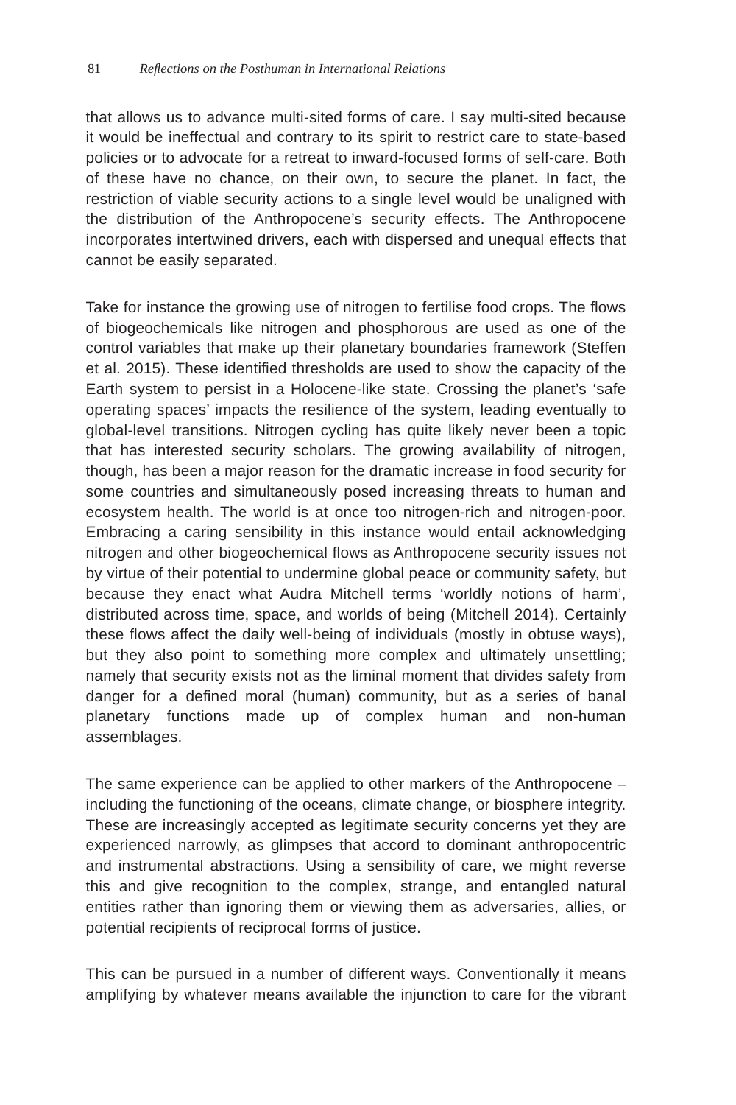that allows us to advance multi-sited forms of care. I say multi-sited because it would be ineffectual and contrary to its spirit to restrict care to state-based policies or to advocate for a retreat to inward-focused forms of self-care. Both of these have no chance, on their own, to secure the planet. In fact, the restriction of viable security actions to a single level would be unaligned with the distribution of the Anthropocene's security effects. The Anthropocene incorporates intertwined drivers, each with dispersed and unequal effects that cannot be easily separated.

Take for instance the growing use of nitrogen to fertilise food crops. The flows of biogeochemicals like nitrogen and phosphorous are used as one of the control variables that make up their planetary boundaries framework (Steffen et al. 2015). These identified thresholds are used to show the capacity of the Earth system to persist in a Holocene-like state. Crossing the planet's 'safe operating spaces' impacts the resilience of the system, leading eventually to global-level transitions. Nitrogen cycling has quite likely never been a topic that has interested security scholars. The growing availability of nitrogen, though, has been a major reason for the dramatic increase in food security for some countries and simultaneously posed increasing threats to human and ecosystem health. The world is at once too nitrogen-rich and nitrogen-poor. Embracing a caring sensibility in this instance would entail acknowledging nitrogen and other biogeochemical flows as Anthropocene security issues not by virtue of their potential to undermine global peace or community safety, but because they enact what Audra Mitchell terms 'worldly notions of harm', distributed across time, space, and worlds of being (Mitchell 2014). Certainly these flows affect the daily well-being of individuals (mostly in obtuse ways), but they also point to something more complex and ultimately unsettling; namely that security exists not as the liminal moment that divides safety from danger for a defined moral (human) community, but as a series of banal planetary functions made up of complex human and non-human assemblages.

The same experience can be applied to other markers of the Anthropocene – including the functioning of the oceans, climate change, or biosphere integrity. These are increasingly accepted as legitimate security concerns yet they are experienced narrowly, as glimpses that accord to dominant anthropocentric and instrumental abstractions. Using a sensibility of care, we might reverse this and give recognition to the complex, strange, and entangled natural entities rather than ignoring them or viewing them as adversaries, allies, or potential recipients of reciprocal forms of justice.

This can be pursued in a number of different ways. Conventionally it means amplifying by whatever means available the injunction to care for the vibrant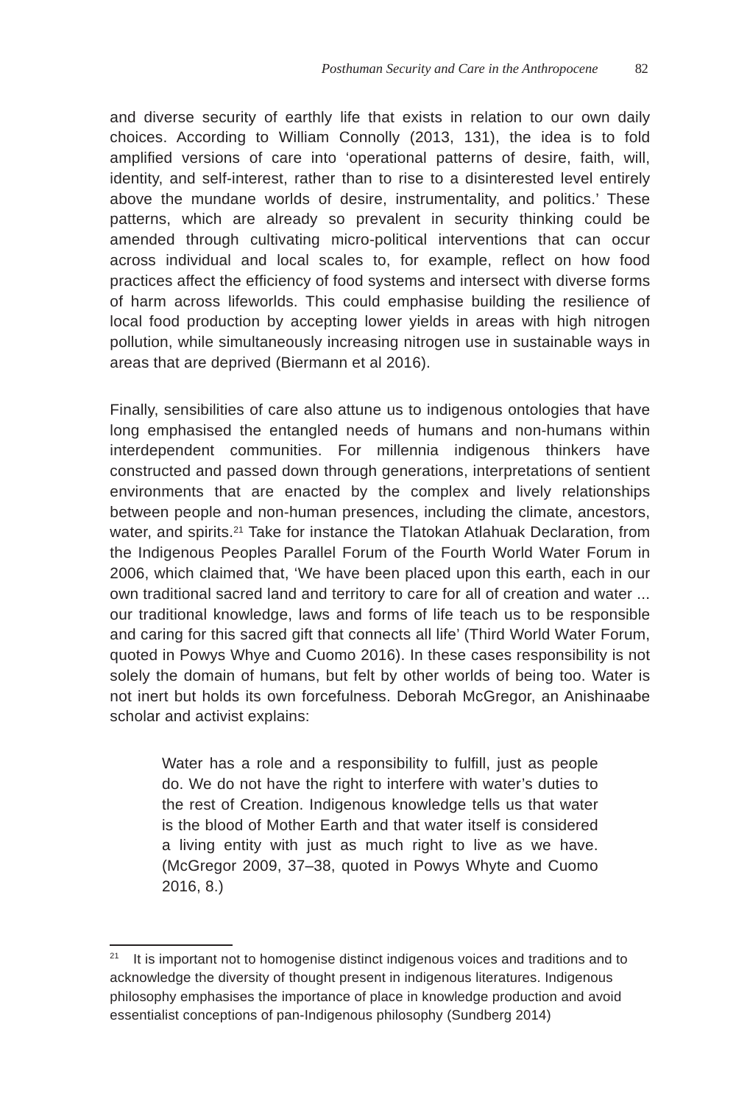and diverse security of earthly life that exists in relation to our own daily choices. According to William Connolly (2013, 131), the idea is to fold amplified versions of care into 'operational patterns of desire, faith, will, identity, and self-interest, rather than to rise to a disinterested level entirely above the mundane worlds of desire, instrumentality, and politics.' These patterns, which are already so prevalent in security thinking could be amended through cultivating micro-political interventions that can occur across individual and local scales to, for example, reflect on how food practices affect the efficiency of food systems and intersect with diverse forms of harm across lifeworlds. This could emphasise building the resilience of local food production by accepting lower yields in areas with high nitrogen pollution, while simultaneously increasing nitrogen use in sustainable ways in areas that are deprived (Biermann et al 2016).

Finally, sensibilities of care also attune us to indigenous ontologies that have long emphasised the entangled needs of humans and non-humans within interdependent communities. For millennia indigenous thinkers have constructed and passed down through generations, interpretations of sentient environments that are enacted by the complex and lively relationships between people and non-human presences, including the climate, ancestors, water, and spirits.<sup>21</sup> Take for instance the Tlatokan Atlahuak Declaration, from the Indigenous Peoples Parallel Forum of the Fourth World Water Forum in 2006, which claimed that, 'We have been placed upon this earth, each in our own traditional sacred land and territory to care for all of creation and water ... our traditional knowledge, laws and forms of life teach us to be responsible and caring for this sacred gift that connects all life' (Third World Water Forum, quoted in Powys Whye and Cuomo 2016). In these cases responsibility is not solely the domain of humans, but felt by other worlds of being too. Water is not inert but holds its own forcefulness. Deborah McGregor, an Anishinaabe scholar and activist explains:

Water has a role and a responsibility to fulfill, just as people do. We do not have the right to interfere with water's duties to the rest of Creation. Indigenous knowledge tells us that water is the blood of Mother Earth and that water itself is considered a living entity with just as much right to live as we have. (McGregor 2009, 37–38, quoted in Powys Whyte and Cuomo 2016, 8.)

<sup>&</sup>lt;sup>21</sup> It is important not to homogenise distinct indigenous voices and traditions and to acknowledge the diversity of thought present in indigenous literatures. Indigenous philosophy emphasises the importance of place in knowledge production and avoid essentialist conceptions of pan-Indigenous philosophy (Sundberg 2014)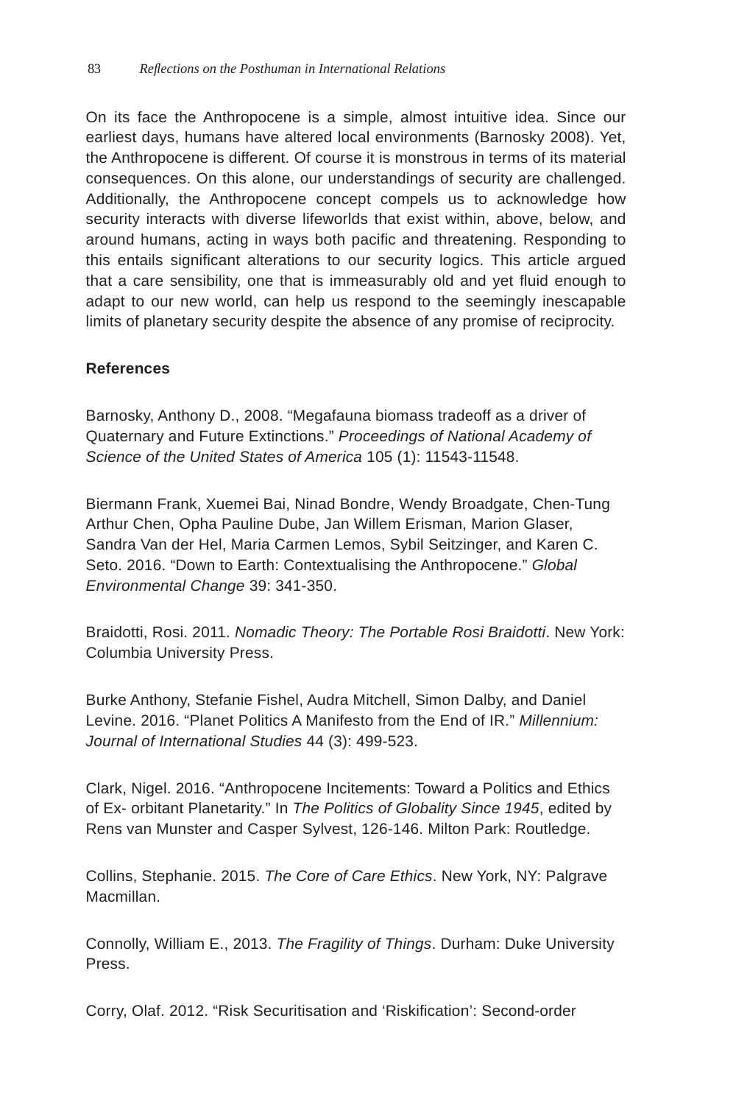On its face the Anthropocene is a simple, almost intuitive idea. Since our earliest days, humans have altered local environments (Barnosky 2008). Yet, the Anthropocene is different. Of course it is monstrous in terms of its material consequences. On this alone, our understandings of security are challenged. Additionally, the Anthropocene concept compels us to acknowledge how security interacts with diverse lifeworlds that exist within, above, below, and around humans, acting in ways both pacific and threatening. Responding to this entails significant alterations to our security logics. This article argued that a care sensibility, one that is immeasurably old and yet fluid enough to adapt to our new world, can help us respond to the seemingly inescapable limits of planetary security despite the absence of any promise of reciprocity.

#### **References**

Barnosky, Anthony D., 2008. "Megafauna biomass tradeoff as a driver of Quaternary and Future Extinctions." *Proceedings of National Academy of Science of the United States of America* 105 (1): 11543-11548.

Biermann Frank, Xuemei Bai, Ninad Bondre, Wendy Broadgate, Chen-Tung Arthur Chen, Opha Pauline Dube, Jan Willem Erisman, Marion Glaser, Sandra Van der Hel, Maria Carmen Lemos, Sybil Seitzinger, and Karen C. Seto. 2016. "Down to Earth: Contextualising the Anthropocene." *Global Environmental Change* 39: 341-350.

Braidotti, Rosi. 2011. *Nomadic Theory: The Portable Rosi Braidotti*. New York: Columbia University Press.

Burke Anthony, Stefanie Fishel, Audra Mitchell, Simon Dalby, and Daniel Levine. 2016. "Planet Politics A Manifesto from the End of IR." *Millennium: Journal of International Studies* 44 (3): 499-523.

Clark, Nigel. 2016. "Anthropocene Incitements: Toward a Politics and Ethics of Ex- orbitant Planetarity." In *The Politics of Globality Since 1945*, edited by Rens van Munster and Casper Sylvest, 126-146. Milton Park: Routledge.

Collins, Stephanie. 2015. *The Core of Care Ethics*. New York, NY: Palgrave Macmillan.

Connolly, William E., 2013. *The Fragility of Things*. Durham: Duke University Press.

Corry, Olaf. 2012. "Risk Securitisation and 'Riskification': Second-order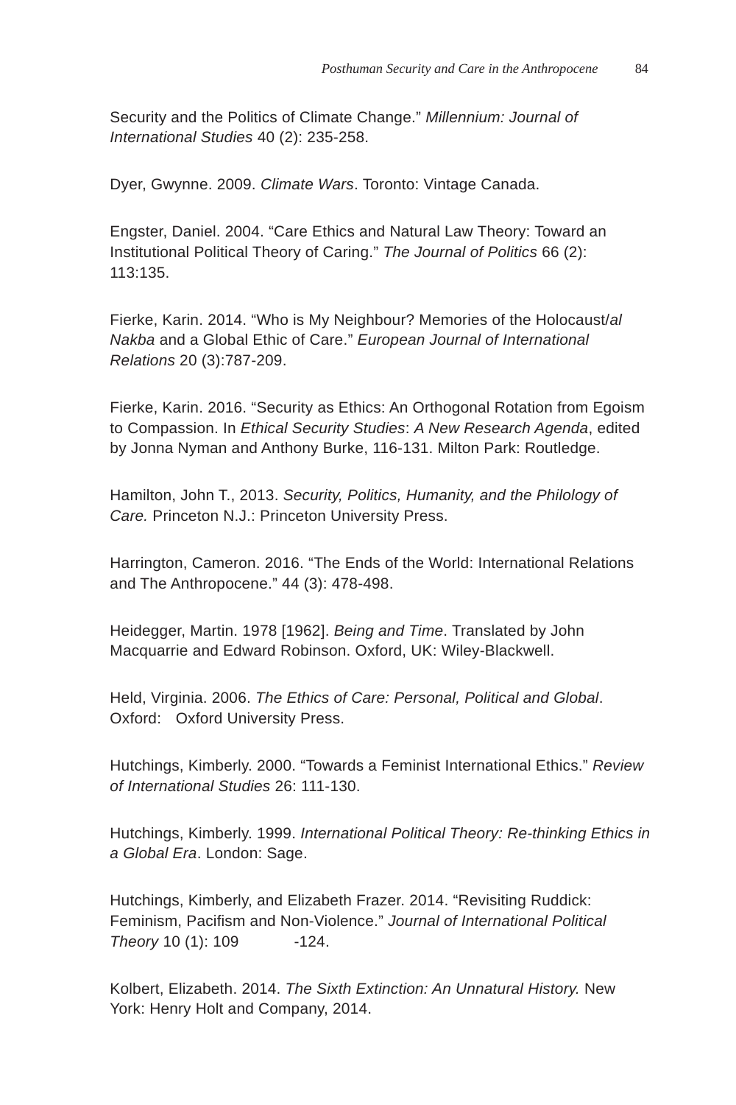Security and the Politics of Climate Change." *Millennium: Journal of International Studies* 40 (2): 235-258.

Dyer, Gwynne. 2009. *Climate Wars*. Toronto: Vintage Canada.

Engster, Daniel. 2004. "Care Ethics and Natural Law Theory: Toward an Institutional Political Theory of Caring." *The Journal of Politics* 66 (2): 113:135.

Fierke, Karin. 2014. "Who is My Neighbour? Memories of the Holocaust/*al Nakba* and a Global Ethic of Care." *European Journal of International Relations* 20 (3):787-209.

Fierke, Karin. 2016. "Security as Ethics: An Orthogonal Rotation from Egoism to Compassion. In *Ethical Security Studies*: *A New Research Agenda*, edited by Jonna Nyman and Anthony Burke, 116-131. Milton Park: Routledge.

Hamilton, John T., 2013. *Security, Politics, Humanity, and the Philology of Care.* Princeton N.J.: Princeton University Press.

Harrington, Cameron. 2016. "The Ends of the World: International Relations and The Anthropocene." 44 (3): 478-498.

Heidegger, Martin. 1978 [1962]. *Being and Time*. Translated by John Macquarrie and Edward Robinson. Oxford, UK: Wiley-Blackwell.

Held, Virginia. 2006. *The Ethics of Care: Personal, Political and Global*. Oxford: Oxford University Press.

Hutchings, Kimberly. 2000. "Towards a Feminist International Ethics." *Review of International Studies* 26: 111-130.

Hutchings, Kimberly. 1999. *International Political Theory: Re-thinking Ethics in a Global Era*. London: Sage.

Hutchings, Kimberly, and Elizabeth Frazer. 2014. "Revisiting Ruddick: Feminism, Pacifism and Non-Violence." *Journal of International Political Theory* 10 (1): 109 -124.

Kolbert, Elizabeth. 2014. *The Sixth Extinction: An Unnatural History.* New York: Henry Holt and Company, 2014.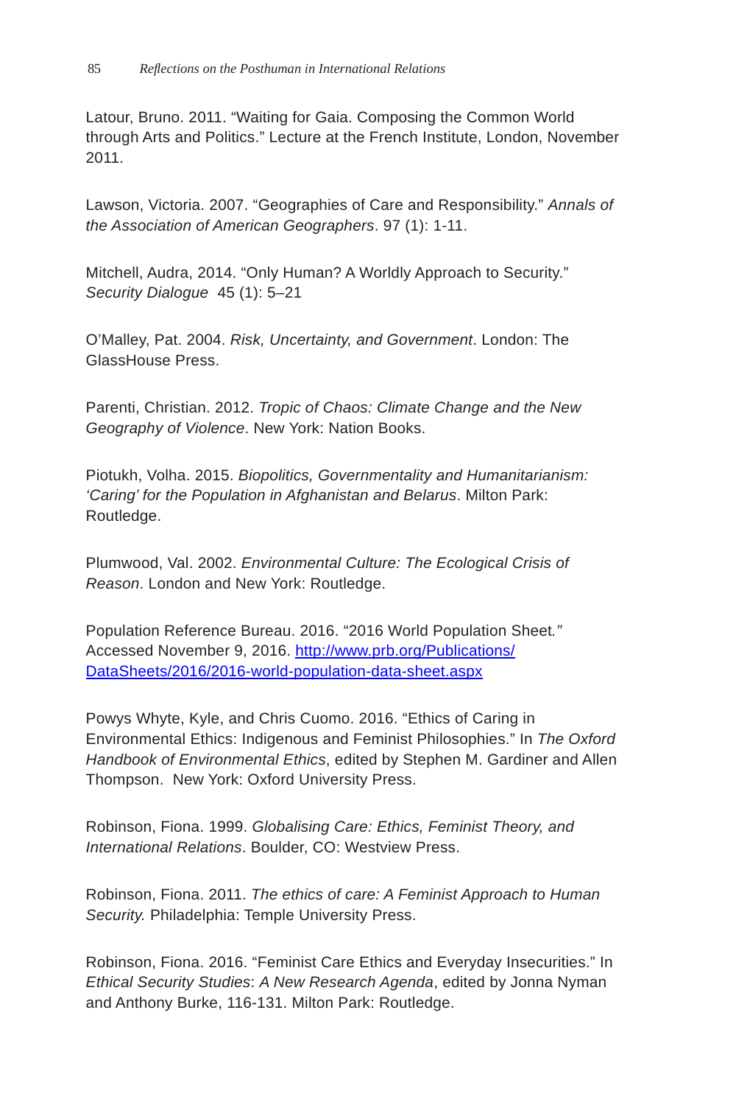Latour, Bruno. 2011. "Waiting for Gaia. Composing the Common World through Arts and Politics." Lecture at the French Institute, London, November 2011.

Lawson, Victoria. 2007. "Geographies of Care and Responsibility." *Annals of the Association of American Geographers*. 97 (1): 1-11.

Mitchell, Audra, 2014. "Only Human? A Worldly Approach to Security." *Security Dialogue* 45 (1): 5–21

O'Malley, Pat. 2004. *Risk, Uncertainty, and Government*. London: The GlassHouse Press.

Parenti, Christian. 2012. *Tropic of Chaos: Climate Change and the New Geography of Violence*. New York: Nation Books.

Piotukh, Volha. 2015. *Biopolitics, Governmentality and Humanitarianism: 'Caring' for the Population in Afghanistan and Belarus*. Milton Park: Routledge.

Plumwood, Val. 2002. *Environmental Culture: The Ecological Crisis of Reason*. London and New York: Routledge.

Population Reference Bureau. 2016. "2016 World Population Sheet*."*  Accessed November 9, 2016. [http://www.prb.org/Publications/](http://www.prb.org/Publications/DataSheets/2016/2016-world-population-data-sheet.aspx) [DataSheets/2016/2016-world-population-data-sheet.aspx](http://www.prb.org/Publications/DataSheets/2016/2016-world-population-data-sheet.aspx)

Powys Whyte, Kyle, and Chris Cuomo. 2016. "Ethics of Caring in Environmental Ethics: Indigenous and Feminist Philosophies." In *The Oxford Handbook of Environmental Ethics*, edited by Stephen M. Gardiner and Allen Thompson. New York: Oxford University Press.

Robinson, Fiona. 1999. *Globalising Care: Ethics, Feminist Theory, and International Relations*. Boulder, CO: Westview Press.

Robinson, Fiona. 2011. *The ethics of care: A Feminist Approach to Human Security.* Philadelphia: Temple University Press.

Robinson, Fiona. 2016. "Feminist Care Ethics and Everyday Insecurities." In *Ethical Security Studies*: *A New Research Agenda*, edited by Jonna Nyman and Anthony Burke, 116-131. Milton Park: Routledge.